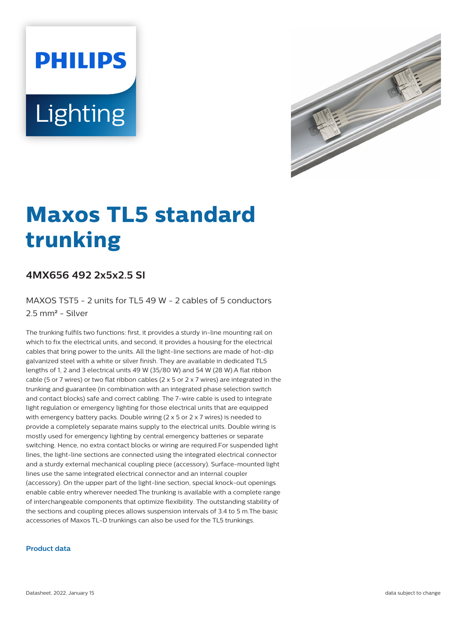# **PHILIPS** Lighting



# **Maxos TL5 standard trunking**

## **4MX656 492 2x5x2.5 SI**

MAXOS TST5 - 2 units for TL5 49 W - 2 cables of 5 conductors 2.5 mm² - Silver

The trunking fulfils two functions: first, it provides a sturdy in-line mounting rail on which to fix the electrical units, and second, it provides a housing for the electrical cables that bring power to the units. All the light-line sections are made of hot-dip galvanized steel with a white or silver finish. They are available in dedicated TL5 lengths of 1, 2 and 3 electrical units 49 W (35/80 W) and 54 W (28 W).A flat ribbon cable (5 or 7 wires) or two flat ribbon cables (2  $\times$  5 or 2  $\times$  7 wires) are integrated in the trunking and guarantee (in combination with an integrated phase selection switch and contact blocks) safe and correct cabling. The 7-wire cable is used to integrate light regulation or emergency lighting for those electrical units that are equipped with emergency battery packs. Double wiring (2 x 5 or 2 x 7 wires) is needed to provide a completely separate mains supply to the electrical units. Double wiring is mostly used for emergency lighting by central emergency batteries or separate switching. Hence, no extra contact blocks or wiring are required.For suspended light lines, the light-line sections are connected using the integrated electrical connector and a sturdy external mechanical coupling piece (accessory). Surface-mounted light lines use the same integrated electrical connector and an internal coupler (accessory). On the upper part of the light-line section, special knock-out openings enable cable entry wherever needed.The trunking is available with a complete range of interchangeable components that optimize flexibility. The outstanding stability of the sections and coupling pieces allows suspension intervals of 3.4 to 5 m.The basic accessories of Maxos TL-D trunkings can also be used for the TL5 trunkings.

#### **Product data**